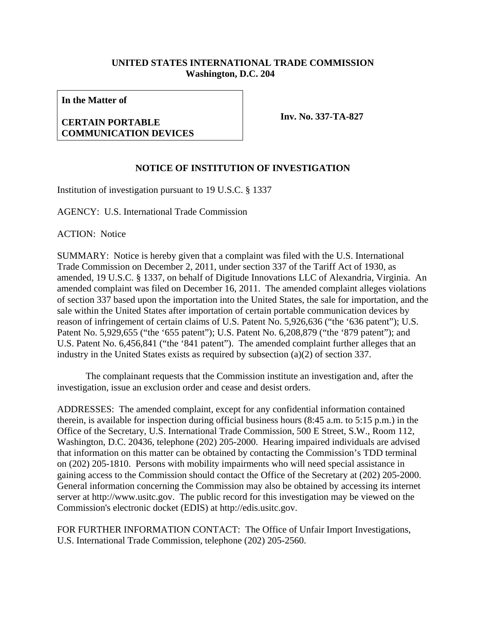## **UNITED STATES INTERNATIONAL TRADE COMMISSION Washington, D.C. 204**

**In the Matter of** 

## **CERTAIN PORTABLE COMMUNICATION DEVICES**

**Inv. No. 337-TA-827**

## **NOTICE OF INSTITUTION OF INVESTIGATION**

Institution of investigation pursuant to 19 U.S.C. § 1337

AGENCY: U.S. International Trade Commission

ACTION: Notice

SUMMARY: Notice is hereby given that a complaint was filed with the U.S. International Trade Commission on December 2, 2011, under section 337 of the Tariff Act of 1930, as amended, 19 U.S.C. § 1337, on behalf of Digitude Innovations LLC of Alexandria, Virginia. An amended complaint was filed on December 16, 2011. The amended complaint alleges violations of section 337 based upon the importation into the United States, the sale for importation, and the sale within the United States after importation of certain portable communication devices by reason of infringement of certain claims of U.S. Patent No. 5,926,636 ("the '636 patent"); U.S. Patent No. 5,929,655 ("the '655 patent"); U.S. Patent No. 6,208,879 ("the '879 patent"); and U.S. Patent No. 6,456,841 ("the '841 patent"). The amended complaint further alleges that an industry in the United States exists as required by subsection (a)(2) of section 337.

 The complainant requests that the Commission institute an investigation and, after the investigation, issue an exclusion order and cease and desist orders.

ADDRESSES: The amended complaint, except for any confidential information contained therein, is available for inspection during official business hours (8:45 a.m. to 5:15 p.m.) in the Office of the Secretary, U.S. International Trade Commission, 500 E Street, S.W., Room 112, Washington, D.C. 20436, telephone (202) 205-2000. Hearing impaired individuals are advised that information on this matter can be obtained by contacting the Commission's TDD terminal on (202) 205-1810. Persons with mobility impairments who will need special assistance in gaining access to the Commission should contact the Office of the Secretary at (202) 205-2000. General information concerning the Commission may also be obtained by accessing its internet server at http://www.usitc.gov. The public record for this investigation may be viewed on the Commission's electronic docket (EDIS) at http://edis.usitc.gov.

FOR FURTHER INFORMATION CONTACT: The Office of Unfair Import Investigations, U.S. International Trade Commission, telephone (202) 205-2560.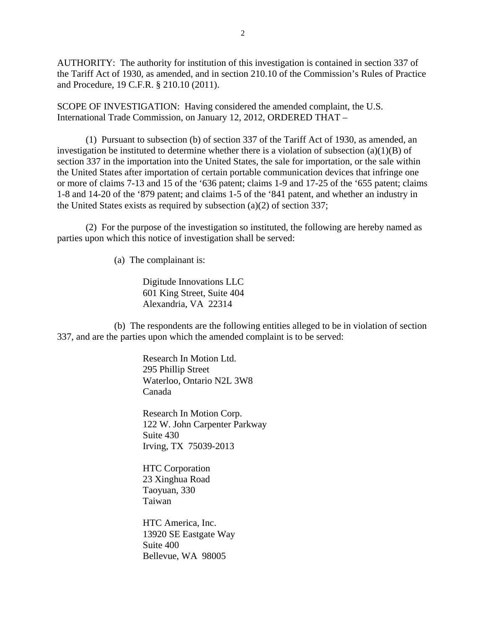AUTHORITY: The authority for institution of this investigation is contained in section 337 of the Tariff Act of 1930, as amended, and in section 210.10 of the Commission's Rules of Practice and Procedure, 19 C.F.R. § 210.10 (2011).

SCOPE OF INVESTIGATION: Having considered the amended complaint, the U.S. International Trade Commission, on January 12, 2012, ORDERED THAT –

 (1) Pursuant to subsection (b) of section 337 of the Tariff Act of 1930, as amended, an investigation be instituted to determine whether there is a violation of subsection  $(a)(1)(B)$  of section 337 in the importation into the United States, the sale for importation, or the sale within the United States after importation of certain portable communication devices that infringe one or more of claims 7-13 and 15 of the '636 patent; claims 1-9 and 17-25 of the '655 patent; claims 1-8 and 14-20 of the '879 patent; and claims 1-5 of the '841 patent, and whether an industry in the United States exists as required by subsection (a)(2) of section 337;

 (2) For the purpose of the investigation so instituted, the following are hereby named as parties upon which this notice of investigation shall be served:

(a) The complainant is:

 Digitude Innovations LLC 601 King Street, Suite 404 Alexandria, VA 22314

 (b) The respondents are the following entities alleged to be in violation of section 337, and are the parties upon which the amended complaint is to be served:

> Research In Motion Ltd. 295 Phillip Street Waterloo, Ontario N2L 3W8 Canada

Research In Motion Corp. 122 W. John Carpenter Parkway Suite 430 Irving, TX 75039-2013

HTC Corporation 23 Xinghua Road Taoyuan, 330 Taiwan

HTC America, Inc. 13920 SE Eastgate Way Suite 400 Bellevue, WA 98005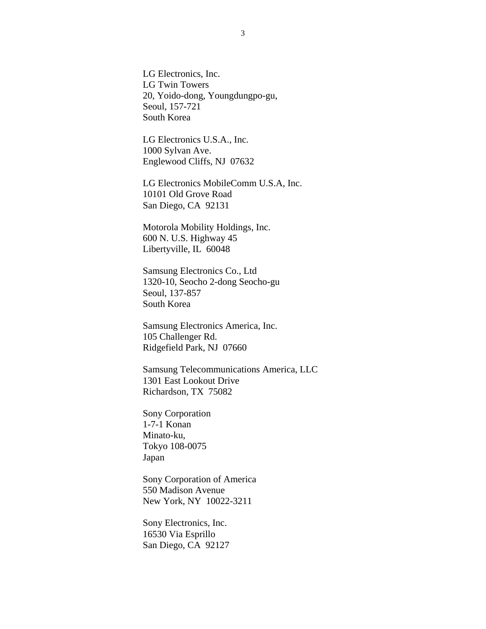LG Electronics, Inc. LG Twin Towers 20, Yoido-dong, Youngdungpo-gu, Seoul, 157-721 South Korea

LG Electronics U.S.A., Inc. 1000 Sylvan Ave. Englewood Cliffs, NJ 07632

LG Electronics MobileComm U.S.A, Inc. 10101 Old Grove Road San Diego, CA 92131

Motorola Mobility Holdings, Inc. 600 N. U.S. Highway 45 Libertyville, IL 60048

Samsung Electronics Co., Ltd 1320-10, Seocho 2-dong Seocho-gu Seoul, 137-857 South Korea

Samsung Electronics America, Inc. 105 Challenger Rd. Ridgefield Park, NJ 07660

Samsung Telecommunications America, LLC 1301 East Lookout Drive Richardson, TX 75082

Sony Corporation 1-7-1 Konan Minato-ku, Tokyo 108-0075 Japan

Sony Corporation of America 550 Madison Avenue New York, NY 10022-3211

Sony Electronics, Inc. 16530 Via Esprillo San Diego, CA 92127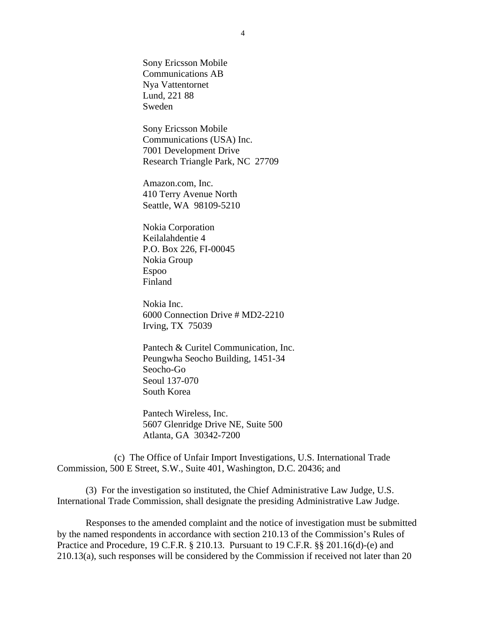Sony Ericsson Mobile Communications AB Nya Vattentornet Lund, 221 88 Sweden

Sony Ericsson Mobile Communications (USA) Inc. 7001 Development Drive Research Triangle Park, NC 27709

Amazon.com, Inc. 410 Terry Avenue North Seattle, WA 98109-5210

Nokia Corporation Keilalahdentie 4 P.O. Box 226, FI-00045 Nokia Group Espoo Finland

Nokia Inc. 6000 Connection Drive # MD2-2210 Irving, TX 75039

Pantech & Curitel Communication, Inc. Peungwha Seocho Building, 1451-34 Seocho-Go Seoul 137-070 South Korea

Pantech Wireless, Inc. 5607 Glenridge Drive NE, Suite 500 Atlanta, GA 30342-7200

 (c) The Office of Unfair Import Investigations, U.S. International Trade Commission, 500 E Street, S.W., Suite 401, Washington, D.C. 20436; and

 (3) For the investigation so instituted, the Chief Administrative Law Judge, U.S. International Trade Commission, shall designate the presiding Administrative Law Judge.

 Responses to the amended complaint and the notice of investigation must be submitted by the named respondents in accordance with section 210.13 of the Commission's Rules of Practice and Procedure, 19 C.F.R. § 210.13. Pursuant to 19 C.F.R. §§ 201.16(d)-(e) and 210.13(a), such responses will be considered by the Commission if received not later than 20